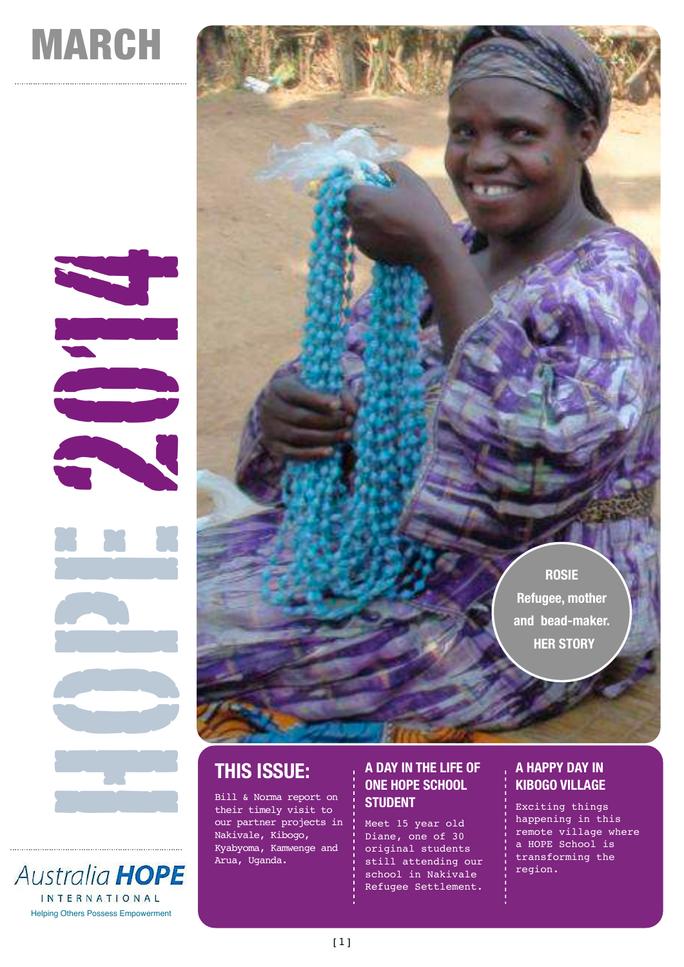# MARCH



**Australia HOPE INTERNATIONAL** Helping Others Possess Empowerment

# **THIS ISSUE:**

Bill & Norma report on their timely visit to our partner projects in Nakivale, Kibogo, Kyabyoma, Kamwenge and Arua, Uganda.

#### **A DAY IN THE LIFE OF ONE HOPE SCHOOL STUDENT**

Meet 15 year old Diane, one of 30 original students still attending our school in Nakivale Refugee Settlement.

### **A HAPPY DAY IN KIBOGO VILLAGE**

**ROSIE**

**Refugee, mother** 

**and bead-maker. HER STORY**

Exciting things happening in this remote village where a HOPE School is transforming the region.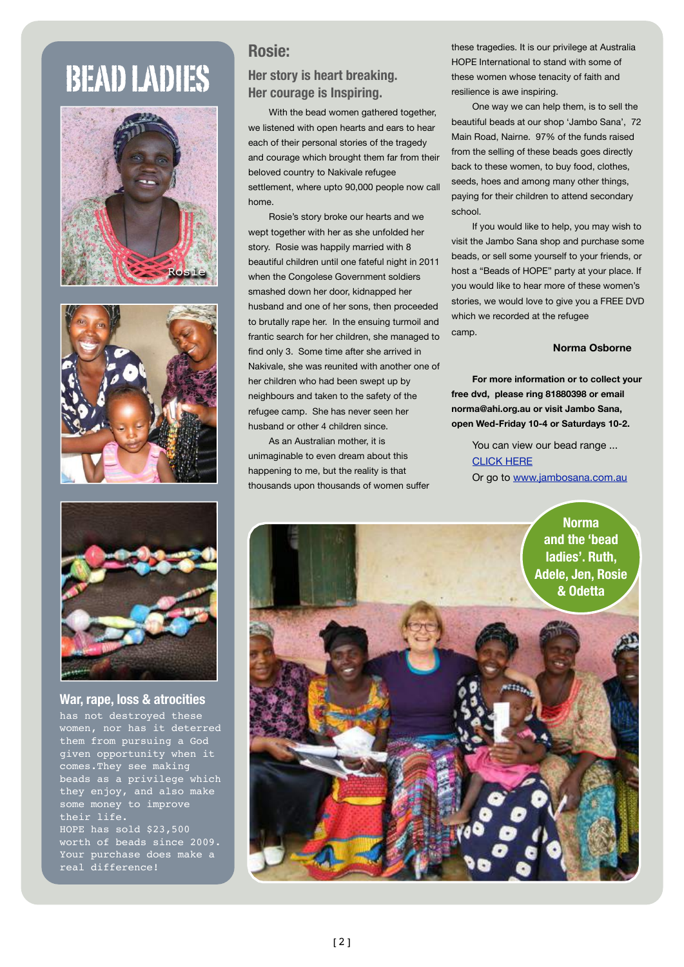# BEAD LADIES







**War, rape, loss & atrocities** 

has not destroyed these women, nor has it deterred them from pursuing a God given opportunity when it comes.They see making beads as a privilege which they enjoy, and also make some money to improve their life. HOPE has sold \$23,500 worth of beads since 2009. Your purchase does make a real difference!

## **Rosie:**

#### **Her story is heart breaking. Her courage is Inspiring.**

With the bead women gathered together, we listened with open hearts and ears to hear each of their personal stories of the tragedy and courage which brought them far from their beloved country to Nakivale refugee settlement, where upto 90,000 people now call home.

Rosie's story broke our hearts and we wept together with her as she unfolded her story. Rosie was happily married with 8 beautiful children until one fateful night in 2011 when the Congolese Government soldiers smashed down her door, kidnapped her husband and one of her sons, then proceeded to brutally rape her. In the ensuing turmoil and frantic search for her children, she managed to find only 3. Some time after she arrived in Nakivale, she was reunited with another one of her children who had been swept up by neighbours and taken to the safety of the refugee camp. She has never seen her husband or other 4 children since.

As an Australian mother, it is unimaginable to even dream about this happening to me, but the reality is that thousands upon thousands of women suffer these tragedies. It is our privilege at Australia HOPE International to stand with some of these women whose tenacity of faith and resilience is awe inspiring.

One way we can help them, is to sell the beautiful beads at our shop 'Jambo Sana', 72 Main Road, Nairne. 97% of the funds raised from the selling of these beads goes directly back to these women, to buy food, clothes, seeds, hoes and among many other things, paying for their children to attend secondary school.

If you would like to help, you may wish to visit the Jambo Sana shop and purchase some beads, or sell some yourself to your friends, or host a "Beads of HOPE" party at your place. If you would like to hear more of these women's stories, we would love to give you a FREE DVD which we recorded at the refugee camp.

#### **Norma Osborne**

**For more information or to collect your free dvd, please ring 81880398 or email [norma@ahi.org.au](mailto:norma@ahi.org.au) or visit Jambo Sana, open Wed-Friday 10-4 or Saturdays 10-2.**

You can view our bead range ... [CLICK HERE](http://jambosana.com.au/african-artifacts-art-gallery-guide/african-beads-and-jewellery.html) Or go to [www.jambosana.com.au](http://www.jambosana.com.au)

> **Norma and the 'bead ladies'. Ruth, Adele, Jen, Rosie & Odetta**

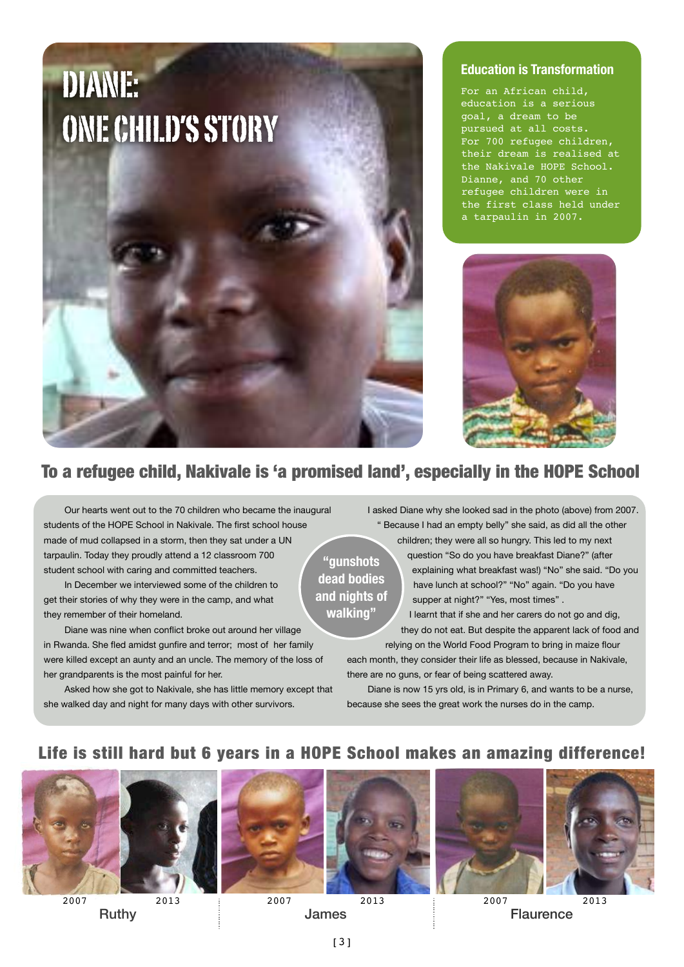

#### **Education is Transformation**

For an African child, education is a serious goal, a dream to be pursued at all costs. For 700 refugee children, their dream is realised at the Nakivale HOPE School. Dianne, and 70 other refugee children were in the first class held under a tarpaulin in 2007.



# To a refugee child, Nakivale is 'a promised land', especially in the HOPE School

Our hearts went out to the 70 children who became the inaugural students of the HOPE School in Nakivale. The first school house made of mud collapsed in a storm, then they sat under a UN tarpaulin. Today they proudly attend a 12 classroom 700 student school with caring and committed teachers.

In December we interviewed some of the children to get their stories of why they were in the camp, and what they remember of their homeland.

Diane was nine when conflict broke out around her village in Rwanda. She fled amidst gunfire and terror; most of her family were killed except an aunty and an uncle. The memory of the loss of her grandparents is the most painful for her.

Asked how she got to Nakivale, she has little memory except that she walked day and night for many days with other survivors.

I asked Diane why she looked sad in the photo (above) from 2007. " Because I had an empty belly" she said, as did all the other

children; they were all so hungry. This led to my next **"gunshots dead bodies and nights of walking"**

question "So do you have breakfast Diane?" (after explaining what breakfast was!) "No" she said. "Do you have lunch at school?" "No" again. "Do you have supper at night?" "Yes, most times" .

I learnt that if she and her carers do not go and dig, they do not eat. But despite the apparent lack of food and relying on the World Food Program to bring in maize flour

each month, they consider their life as blessed, because in Nakivale, there are no guns, or fear of being scattered away.

Diane is now 15 yrs old, is in Primary 6, and wants to be a nurse, because she sees the great work the nurses do in the camp.

# Life is still hard but 6 years in a HOPE School makes an amazing difference!







Ruthy **Example 3** Haurence **Flaurence Flaurence**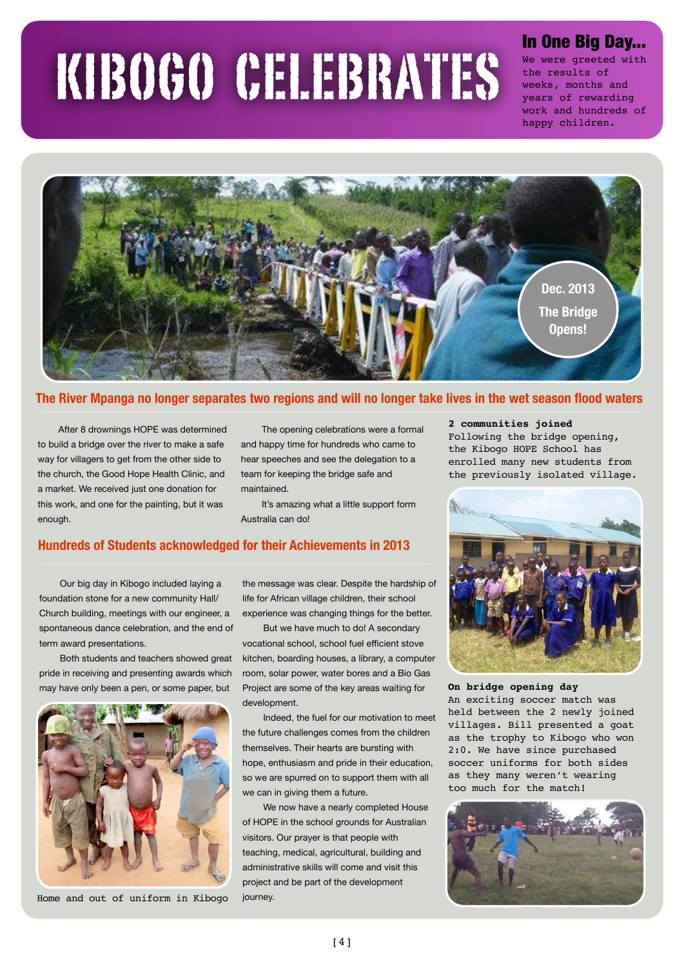# KIBOGO CELEBRATES

# In One Big Day...

We were greeted with the results of weeks, months and years of rewarding work and hundreds of happy children.



#### **The River Mpanga no longer separates two regions and will no longer take lives in the wet season flood waters**

After 8 drownings HOPE was determined to build a bridge over the river to make a safe way for villagers to get from the other side to the church, the Good Hope Health Clinic, and a market. We received just one donation for this work, and one for the painting, but it was enough.

The opening celebrations were a formal and happy time for hundreds who came to hear speeches and see the delegation to a team for keeping the bridge safe and maintained.

It's amazing what a little support form Australia can do!

#### **Hundreds of Students acknowledged for their Achievements in 2013**

Our big day in Kibogo included laying a foundation stone for a new community Hall/ Church building, meetings with our engineer, a spontaneous dance celebration, and the end of term award presentations.

Both students and teachers showed great pride in receiving and presenting awards which may have only been a pen, or some paper, but



 Home and out of uniform in Kibogo journey.

the message was clear. Despite the hardship of life for African village children, their school experience was changing things for the better.

But we have much to do! A secondary vocational school, school fuel efficient stove kitchen, boarding houses, a library, a computer room, solar power, water bores and a Bio Gas Project are some of the key areas waiting for development.

Indeed, the fuel for our motivation to meet the future challenges comes from the children themselves. Their hearts are bursting with hope, enthusiasm and pride in their education, so we are spurred on to support them with all we can in giving them a future.

We now have a nearly completed House of HOPE in the school grounds for Australian visitors. Our prayer is that people with teaching, medical, agricultural, building and administrative skills will come and visit this project and be part of the development

#### **2 communities joined**

Following the bridge opening, the Kibogo HOPE School has enrolled many new students from the previously isolated village.



**On bridge opening day** An exciting soccer match was held between the 2 newly joined villages. Bill presented a goat as the trophy to Kibogo who won 2:0. We have since purchased soccer uniforms for both sides as they many weren't wearing too much for the match!

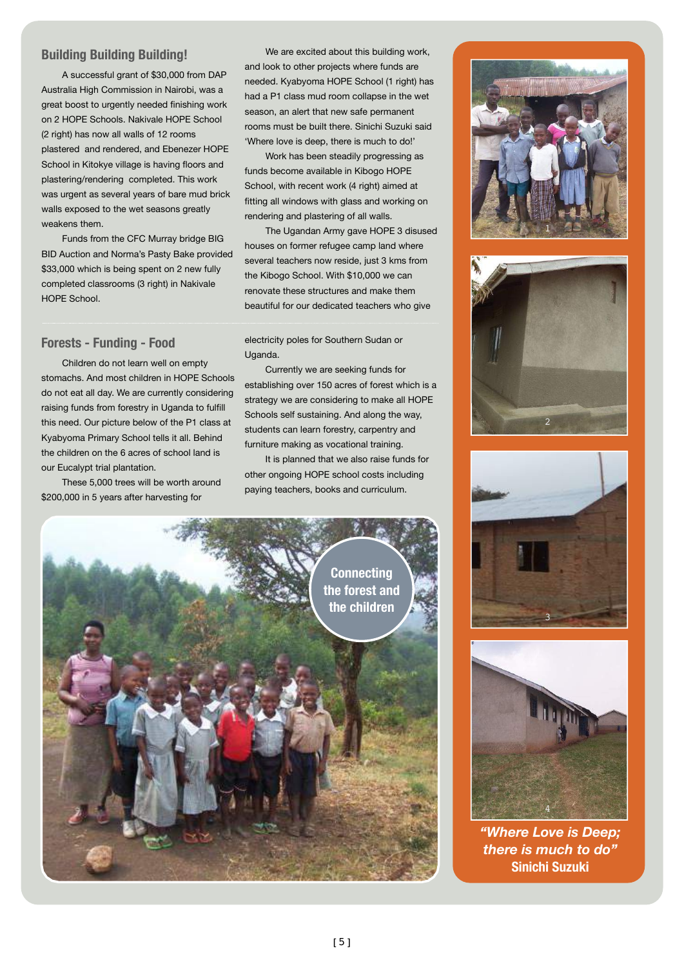#### **Building Building Building!**

A successful grant of \$30,000 from DAP Australia High Commission in Nairobi, was a great boost to urgently needed finishing work on 2 HOPE Schools. Nakivale HOPE School (2 right) has now all walls of 12 rooms plastered and rendered, and Ebenezer HOPE School in Kitokye village is having floors and plastering/rendering completed. This work was urgent as several years of bare mud brick walls exposed to the wet seasons greatly weakens them.

Funds from the CFC Murray bridge BIG BID Auction and Norma's Pasty Bake provided \$33,000 which is being spent on 2 new fully completed classrooms (3 right) in Nakivale HOPE School.

#### **Forests - Funding - Food**

Children do not learn well on empty stomachs. And most children in HOPE Schools do not eat all day. We are currently considering raising funds from forestry in Uganda to fulfill this need. Our picture below of the P1 class at Kyabyoma Primary School tells it all. Behind the children on the 6 acres of school land is our Eucalypt trial plantation.

These 5,000 trees will be worth around \$200,000 in 5 years after harvesting for

We are excited about this building work, and look to other projects where funds are needed. Kyabyoma HOPE School (1 right) has had a P1 class mud room collapse in the wet season, an alert that new safe permanent rooms must be built there. Sinichi Suzuki said 'Where love is deep, there is much to do!'

Work has been steadily progressing as funds become available in Kibogo HOPE School, with recent work (4 right) aimed at fitting all windows with glass and working on rendering and plastering of all walls.

The Ugandan Army gave HOPE 3 disused houses on former refugee camp land where several teachers now reside, just 3 kms from the Kibogo School. With \$10,000 we can renovate these structures and make them beautiful for our dedicated teachers who give

electricity poles for Southern Sudan or Uganda.

Currently we are seeking funds for establishing over 150 acres of forest which is a strategy we are considering to make all HOPE Schools self sustaining. And along the way, students can learn forestry, carpentry and furniture making as vocational training.

It is planned that we also raise funds for other ongoing HOPE school costs including paying teachers, books and curriculum.











*"Where Love is Deep; there is much to do"*  **Sinichi Suzuki**